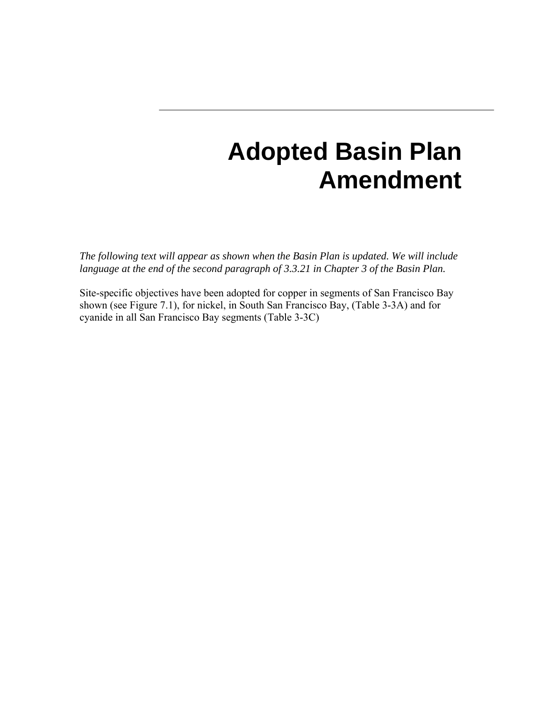# **Adopted Basin Plan Amendment**

*The following text will appear as shown when the Basin Plan is updated. We will include language at the end of the second paragraph of 3.3.21 in Chapter 3 of the Basin Plan.* 

Site-specific objectives have been adopted for copper in segments of San Francisco Bay shown (see Figure 7.1), for nickel, in South San Francisco Bay, (Table 3-3A) and for cyanide in all San Francisco Bay segments (Table 3-3C)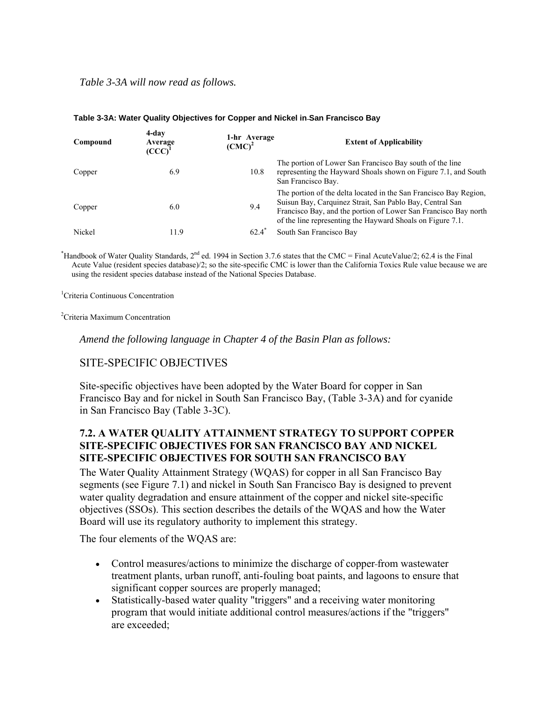| Compound | 4-day<br>Average<br>$(CCC)^1$ | 1-hr Average<br>$(CMC)^2$ | <b>Extent of Applicability</b>                                                                                                                                                                                                                                 |
|----------|-------------------------------|---------------------------|----------------------------------------------------------------------------------------------------------------------------------------------------------------------------------------------------------------------------------------------------------------|
| Copper   | 6.9                           | 10.8                      | The portion of Lower San Francisco Bay south of the line<br>representing the Hayward Shoals shown on Figure 7.1, and South<br>San Francisco Bay.                                                                                                               |
| Copper   | 6.0                           | 9.4                       | The portion of the delta located in the San Francisco Bay Region,<br>Suisun Bay, Carquinez Strait, San Pablo Bay, Central San<br>Francisco Bay, and the portion of Lower San Francisco Bay north<br>of the line representing the Hayward Shoals on Figure 7.1. |
| Nickel   | 11.9                          | 62.4                      | South San Francisco Bay                                                                                                                                                                                                                                        |

#### **Table 3-3A: Water Quality Objectives for Copper and Nickel in San Francisco Bay**

<sup>\*</sup>Handbook of Water Quality Standards,  $2^{nd}$  ed. 1994 in Section 3.7.6 states that the CMC = Final AcuteValue/2; 62.4 is the Final Acute Value (resident species database)/2; so the site-specific CMC is lower than the California Toxics Rule value because we are using the resident species database instead of the National Species Database.

1 Criteria Continuous Concentration

2 Criteria Maximum Concentration

*Amend the following language in Chapter 4 of the Basin Plan as follows:* 

#### SITE-SPECIFIC OBJECTIVES

Site-specific objectives have been adopted by the Water Board for copper in San Francisco Bay and for nickel in South San Francisco Bay, (Table 3-3A) and for cyanide in San Francisco Bay (Table 3-3C).

#### **7.2. A WATER QUALITY ATTAINMENT STRATEGY TO SUPPORT COPPER SITE-SPECIFIC OBJECTIVES FOR SAN FRANCISCO BAY AND NICKEL SITE-SPECIFIC OBJECTIVES FOR SOUTH SAN FRANCISCO BAY**

The Water Quality Attainment Strategy (WQAS) for copper in all San Francisco Bay segments (see Figure 7.1) and nickel in South San Francisco Bay is designed to prevent water quality degradation and ensure attainment of the copper and nickel site-specific objectives (SSOs). This section describes the details of the WQAS and how the Water Board will use its regulatory authority to implement this strategy.

The four elements of the WQAS are:

- Control measures/actions to minimize the discharge of copper-from wastewater treatment plants, urban runoff, anti-fouling boat paints, and lagoons to ensure that significant copper sources are properly managed;
- Statistically-based water quality "triggers" and a receiving water monitoring program that would initiate additional control measures/actions if the "triggers" are exceeded;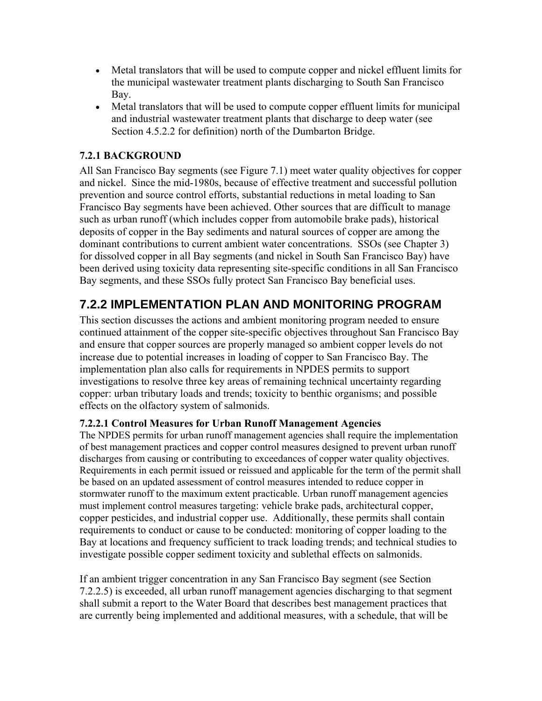- Metal translators that will be used to compute copper and nickel effluent limits for the municipal wastewater treatment plants discharging to South San Francisco Bay.
- Metal translators that will be used to compute copper effluent limits for municipal and industrial wastewater treatment plants that discharge to deep water (see Section 4.5.2.2 for definition) north of the Dumbarton Bridge.

### **7.2.1 BACKGROUND**

All San Francisco Bay segments (see Figure 7.1) meet water quality objectives for copper and nickel. Since the mid-1980s, because of effective treatment and successful pollution prevention and source control efforts, substantial reductions in metal loading to San Francisco Bay segments have been achieved. Other sources that are difficult to manage such as urban runoff (which includes copper from automobile brake pads), historical deposits of copper in the Bay sediments and natural sources of copper are among the dominant contributions to current ambient water concentrations. SSOs (see Chapter 3) for dissolved copper in all Bay segments (and nickel in South San Francisco Bay) have been derived using toxicity data representing site-specific conditions in all San Francisco Bay segments, and these SSOs fully protect San Francisco Bay beneficial uses.

## **7.2.2 IMPLEMENTATION PLAN AND MONITORING PROGRAM**

This section discusses the actions and ambient monitoring program needed to ensure continued attainment of the copper site-specific objectives throughout San Francisco Bay and ensure that copper sources are properly managed so ambient copper levels do not increase due to potential increases in loading of copper to San Francisco Bay. The implementation plan also calls for requirements in NPDES permits to support investigations to resolve three key areas of remaining technical uncertainty regarding copper: urban tributary loads and trends; toxicity to benthic organisms; and possible effects on the olfactory system of salmonids.

#### **7.2.2.1 Control Measures for Urban Runoff Management Agencies**

The NPDES permits for urban runoff management agencies shall require the implementation of best management practices and copper control measures designed to prevent urban runoff discharges from causing or contributing to exceedances of copper water quality objectives. Requirements in each permit issued or reissued and applicable for the term of the permit shall be based on an updated assessment of control measures intended to reduce copper in stormwater runoff to the maximum extent practicable. Urban runoff management agencies must implement control measures targeting: vehicle brake pads, architectural copper, copper pesticides, and industrial copper use. Additionally, these permits shall contain requirements to conduct or cause to be conducted: monitoring of copper loading to the Bay at locations and frequency sufficient to track loading trends; and technical studies to investigate possible copper sediment toxicity and sublethal effects on salmonids.

If an ambient trigger concentration in any San Francisco Bay segment (see Section 7.2.2.5) is exceeded, all urban runoff management agencies discharging to that segment shall submit a report to the Water Board that describes best management practices that are currently being implemented and additional measures, with a schedule, that will be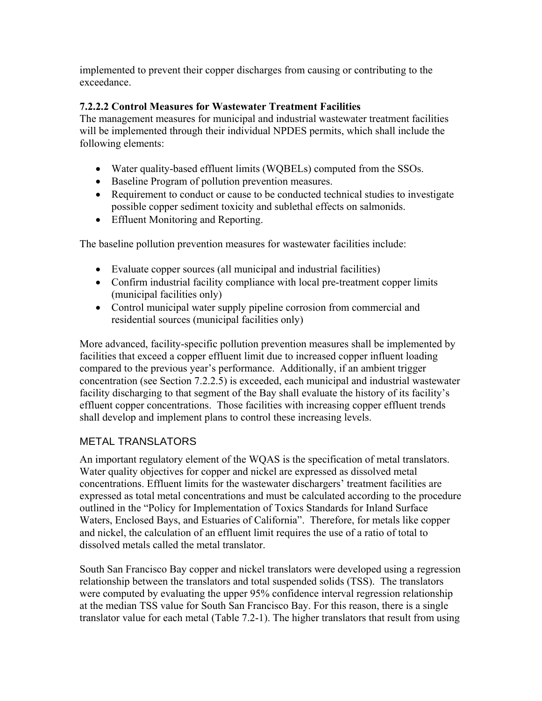implemented to prevent their copper discharges from causing or contributing to the exceedance.

#### **7.2.2.2 Control Measures for Wastewater Treatment Facilities**

The management measures for municipal and industrial wastewater treatment facilities will be implemented through their individual NPDES permits, which shall include the following elements:

- Water quality-based effluent limits (WQBELs) computed from the SSOs.
- Baseline Program of pollution prevention measures.
- Requirement to conduct or cause to be conducted technical studies to investigate possible copper sediment toxicity and sublethal effects on salmonids.
- Effluent Monitoring and Reporting.

The baseline pollution prevention measures for wastewater facilities include:

- Evaluate copper sources (all municipal and industrial facilities)
- Confirm industrial facility compliance with local pre-treatment copper limits (municipal facilities only)
- Control municipal water supply pipeline corrosion from commercial and residential sources (municipal facilities only)

More advanced, facility-specific pollution prevention measures shall be implemented by facilities that exceed a copper effluent limit due to increased copper influent loading compared to the previous year's performance. Additionally, if an ambient trigger concentration (see Section 7.2.2.5) is exceeded, each municipal and industrial wastewater facility discharging to that segment of the Bay shall evaluate the history of its facility's effluent copper concentrations. Those facilities with increasing copper effluent trends shall develop and implement plans to control these increasing levels.

#### METAL TRANSLATORS

An important regulatory element of the WQAS is the specification of metal translators. Water quality objectives for copper and nickel are expressed as dissolved metal concentrations. Effluent limits for the wastewater dischargers' treatment facilities are expressed as total metal concentrations and must be calculated according to the procedure outlined in the "Policy for Implementation of Toxics Standards for Inland Surface Waters, Enclosed Bays, and Estuaries of California". Therefore, for metals like copper and nickel, the calculation of an effluent limit requires the use of a ratio of total to dissolved metals called the metal translator.

South San Francisco Bay copper and nickel translators were developed using a regression relationship between the translators and total suspended solids (TSS). The translators were computed by evaluating the upper 95% confidence interval regression relationship at the median TSS value for South San Francisco Bay. For this reason, there is a single translator value for each metal (Table 7.2-1). The higher translators that result from using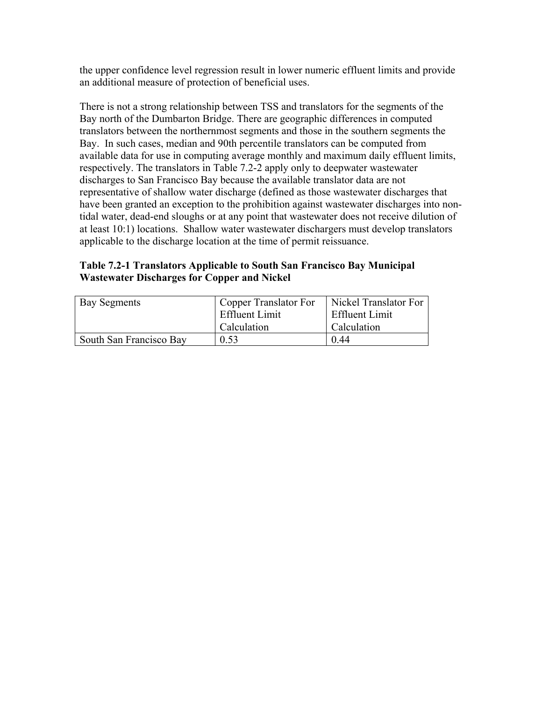the upper confidence level regression result in lower numeric effluent limits and provide an additional measure of protection of beneficial uses.

There is not a strong relationship between TSS and translators for the segments of the Bay north of the Dumbarton Bridge. There are geographic differences in computed translators between the northernmost segments and those in the southern segments the Bay. In such cases, median and 90th percentile translators can be computed from available data for use in computing average monthly and maximum daily effluent limits, respectively. The translators in Table 7.2-2 apply only to deepwater wastewater discharges to San Francisco Bay because the available translator data are not representative of shallow water discharge (defined as those wastewater discharges that have been granted an exception to the prohibition against wastewater discharges into nontidal water, dead-end sloughs or at any point that wastewater does not receive dilution of at least 10:1) locations. Shallow water wastewater dischargers must develop translators applicable to the discharge location at the time of permit reissuance.

**Table 7.2-1 Translators Applicable to South San Francisco Bay Municipal Wastewater Discharges for Copper and Nickel** 

| Bay Segments            | <sup>1</sup> Copper Translator For<br><b>Effluent Limit</b> | Nickel Translator For<br><b>Effluent Limit</b> |
|-------------------------|-------------------------------------------------------------|------------------------------------------------|
|                         | Calculation                                                 | Calculation                                    |
| South San Francisco Bay | 0.53                                                        | (144)                                          |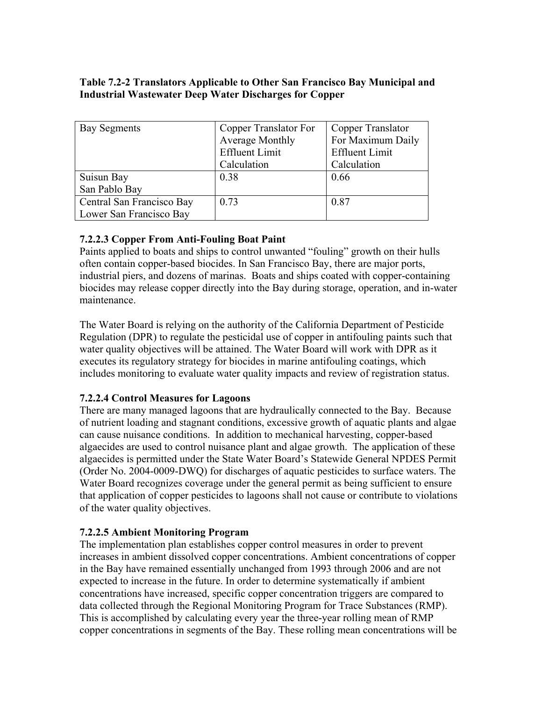#### **Table 7.2-2 Translators Applicable to Other San Francisco Bay Municipal and Industrial Wastewater Deep Water Discharges for Copper**

| Bay Segments              | Copper Translator For | Copper Translator     |
|---------------------------|-----------------------|-----------------------|
|                           | Average Monthly       | For Maximum Daily     |
|                           | <b>Effluent Limit</b> | <b>Effluent Limit</b> |
|                           | Calculation           | Calculation           |
| Suisun Bay                | 0.38                  | 0.66                  |
| San Pablo Bay             |                       |                       |
| Central San Francisco Bay | 0.73                  | 0.87                  |
| Lower San Francisco Bay   |                       |                       |

#### **7.2.2.3 Copper From Anti-Fouling Boat Paint**

Paints applied to boats and ships to control unwanted "fouling" growth on their hulls often contain copper-based biocides. In San Francisco Bay, there are major ports, industrial piers, and dozens of marinas. Boats and ships coated with copper-containing biocides may release copper directly into the Bay during storage, operation, and in-water maintenance.

The Water Board is relying on the authority of the California Department of Pesticide Regulation (DPR) to regulate the pesticidal use of copper in antifouling paints such that water quality objectives will be attained. The Water Board will work with DPR as it executes its regulatory strategy for biocides in marine antifouling coatings, which includes monitoring to evaluate water quality impacts and review of registration status.

#### **7.2.2.4 Control Measures for Lagoons**

There are many managed lagoons that are hydraulically connected to the Bay. Because of nutrient loading and stagnant conditions, excessive growth of aquatic plants and algae can cause nuisance conditions. In addition to mechanical harvesting, copper-based algaecides are used to control nuisance plant and algae growth. The application of these algaecides is permitted under the State Water Board's Statewide General NPDES Permit (Order No. 2004-0009-DWQ) for discharges of aquatic pesticides to surface waters. The Water Board recognizes coverage under the general permit as being sufficient to ensure that application of copper pesticides to lagoons shall not cause or contribute to violations of the water quality objectives.

#### **7.2.2.5 Ambient Monitoring Program**

The implementation plan establishes copper control measures in order to prevent increases in ambient dissolved copper concentrations. Ambient concentrations of copper in the Bay have remained essentially unchanged from 1993 through 2006 and are not expected to increase in the future. In order to determine systematically if ambient concentrations have increased, specific copper concentration triggers are compared to data collected through the Regional Monitoring Program for Trace Substances (RMP). This is accomplished by calculating every year the three-year rolling mean of RMP copper concentrations in segments of the Bay. These rolling mean concentrations will be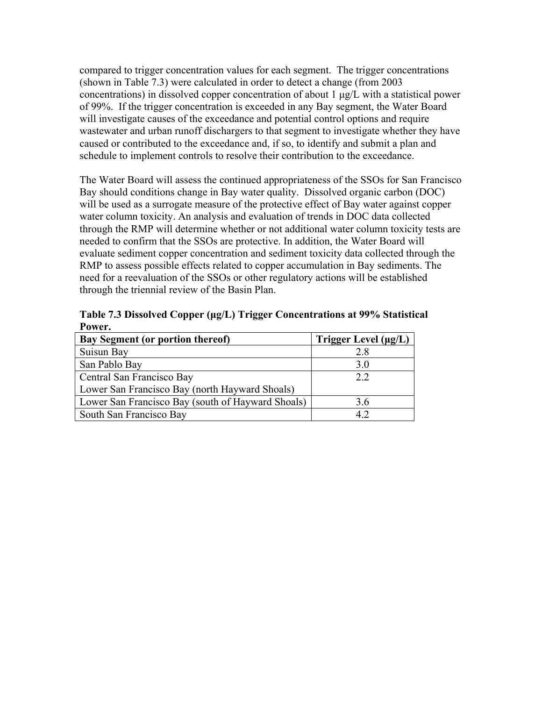compared to trigger concentration values for each segment. The trigger concentrations (shown in Table 7.3) were calculated in order to detect a change (from 2003 concentrations) in dissolved copper concentration of about 1 μg/L with a statistical power of 99%. If the trigger concentration is exceeded in any Bay segment, the Water Board will investigate causes of the exceedance and potential control options and require wastewater and urban runoff dischargers to that segment to investigate whether they have caused or contributed to the exceedance and, if so, to identify and submit a plan and schedule to implement controls to resolve their contribution to the exceedance.

The Water Board will assess the continued appropriateness of the SSOs for San Francisco Bay should conditions change in Bay water quality. Dissolved organic carbon (DOC) will be used as a surrogate measure of the protective effect of Bay water against copper water column toxicity. An analysis and evaluation of trends in DOC data collected through the RMP will determine whether or not additional water column toxicity tests are needed to confirm that the SSOs are protective. In addition, the Water Board will evaluate sediment copper concentration and sediment toxicity data collected through the RMP to assess possible effects related to copper accumulation in Bay sediments. The need for a reevaluation of the SSOs or other regulatory actions will be established through the triennial review of the Basin Plan.

**Table 7.3 Dissolved Copper (μg/L) Trigger Concentrations at 99% Statistical Power.** 

| Bay Segment (or portion thereof)                  | Trigger Level $(\mu g/L)$ |
|---------------------------------------------------|---------------------------|
| Suisun Bay                                        | 2.8                       |
| San Pablo Bay                                     | 3.0                       |
| Central San Francisco Bay                         | 2.2                       |
| Lower San Francisco Bay (north Hayward Shoals)    |                           |
| Lower San Francisco Bay (south of Hayward Shoals) | 3.6                       |
| South San Francisco Bay                           | 42                        |